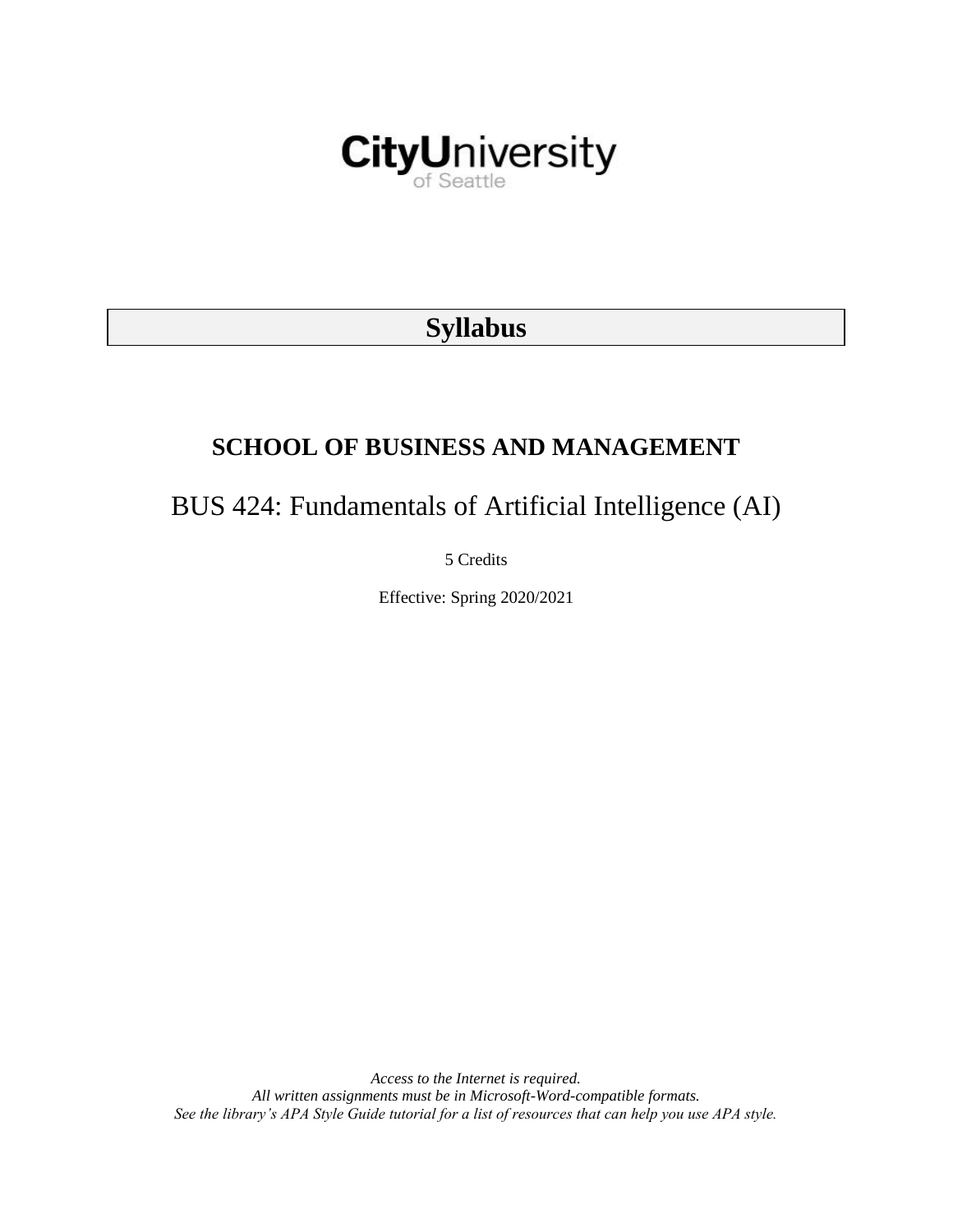

# **Syllabus**

# **SCHOOL OF BUSINESS AND MANAGEMENT**

# BUS 424: Fundamentals of Artificial Intelligence (AI)

5 Credits

Effective: Spring 2020/2021

*Access to the Internet is required. All written assignments must be in Microsoft-Word-compatible formats. See the library's APA Style Guide tutorial for a list of resources that can help you use APA style.*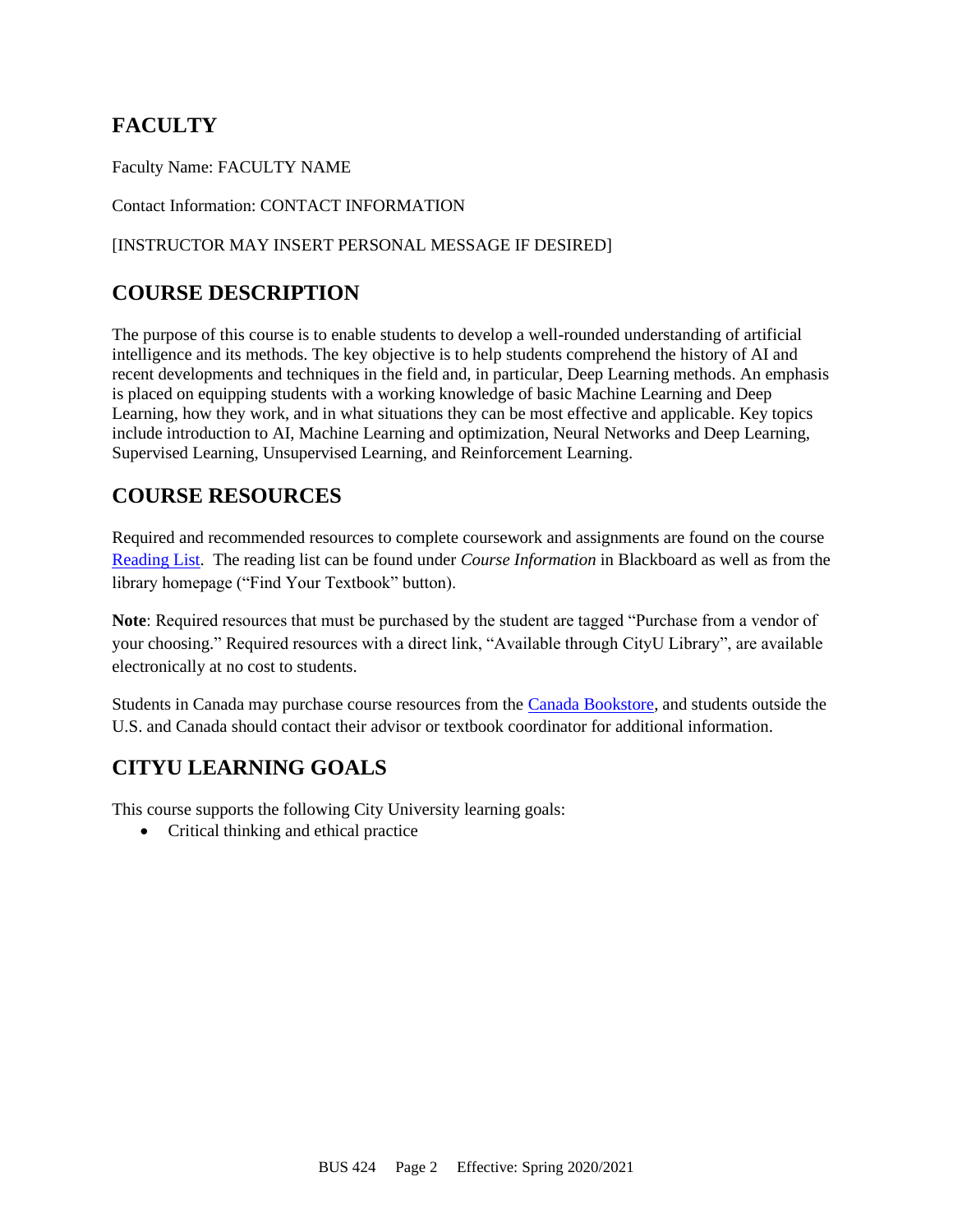# **FACULTY**

Faculty Name: FACULTY NAME

Contact Information: CONTACT INFORMATION

### [INSTRUCTOR MAY INSERT PERSONAL MESSAGE IF DESIRED]

# **COURSE DESCRIPTION**

The purpose of this course is to enable students to develop a well-rounded understanding of artificial intelligence and its methods. The key objective is to help students comprehend the history of AI and recent developments and techniques in the field and, in particular, Deep Learning methods. An emphasis is placed on equipping students with a working knowledge of basic Machine Learning and Deep Learning, how they work, and in what situations they can be most effective and applicable. Key topics include introduction to AI, Machine Learning and optimization, Neural Networks and Deep Learning, Supervised Learning, Unsupervised Learning, and Reinforcement Learning.

## **COURSE RESOURCES**

Required and recommended resources to complete coursework and assignments are found on the course [Reading List.](https://cityu.alma.exlibrisgroup.com/leganto/login?auth=SAML) The reading list can be found under *Course Information* in Blackboard as well as from the library homepage ("Find Your Textbook" button).

**Note**: Required resources that must be purchased by the student are tagged "Purchase from a vendor of your choosing." Required resources with a direct link, "Available through CityU Library", are available electronically at no cost to students.

Students in Canada may purchase course resources from the [Canada Bookstore,](https://www.cityubookstore.ca/index.asp) and students outside the U.S. and Canada should contact their advisor or textbook coordinator for additional information.

# **CITYU LEARNING GOALS**

This course supports the following City University learning goals:

• Critical thinking and ethical practice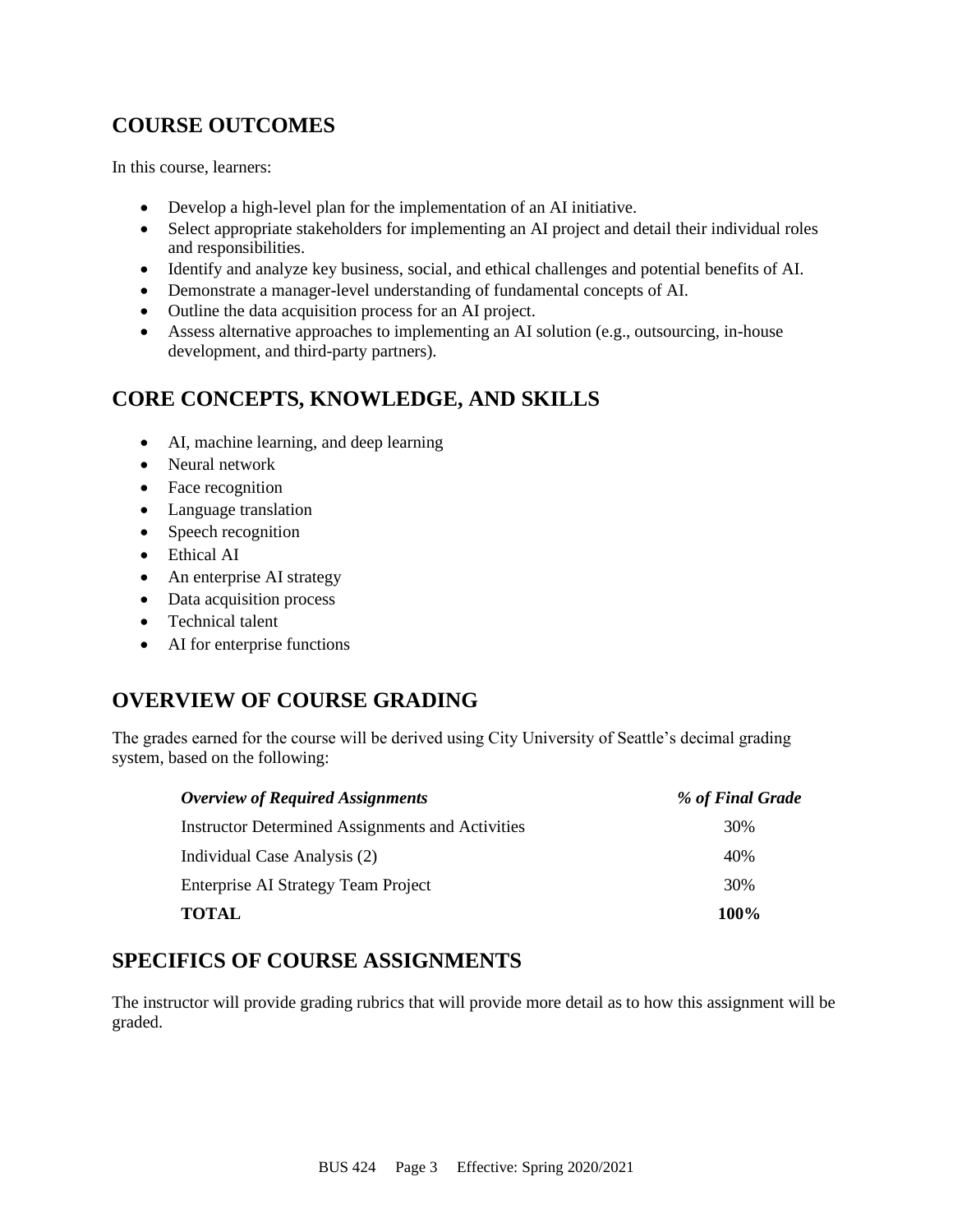# **COURSE OUTCOMES**

In this course, learners:

- Develop a high-level plan for the implementation of an AI initiative.
- Select appropriate stakeholders for implementing an AI project and detail their individual roles and responsibilities.
- Identify and analyze key business, social, and ethical challenges and potential benefits of AI.
- Demonstrate a manager-level understanding of fundamental concepts of AI.
- Outline the data acquisition process for an AI project.
- Assess alternative approaches to implementing an AI solution (e.g., outsourcing, in-house development, and third-party partners).

# **CORE CONCEPTS, KNOWLEDGE, AND SKILLS**

- AI, machine learning, and deep learning
- Neural network
- Face recognition
- Language translation
- Speech recognition
- Ethical AI
- An enterprise AI strategy
- Data acquisition process
- Technical talent
- AI for enterprise functions

# **OVERVIEW OF COURSE GRADING**

The grades earned for the course will be derived using City University of Seattle's decimal grading system, based on the following:

| <b>Overview of Required Assignments</b>                 | % of Final Grade |
|---------------------------------------------------------|------------------|
| <b>Instructor Determined Assignments and Activities</b> | 30%              |
| Individual Case Analysis (2)                            | 40%              |
| Enterprise AI Strategy Team Project                     | 30%              |
| <b>TOTAL</b>                                            | 100%             |

# **SPECIFICS OF COURSE ASSIGNMENTS**

The instructor will provide grading rubrics that will provide more detail as to how this assignment will be graded.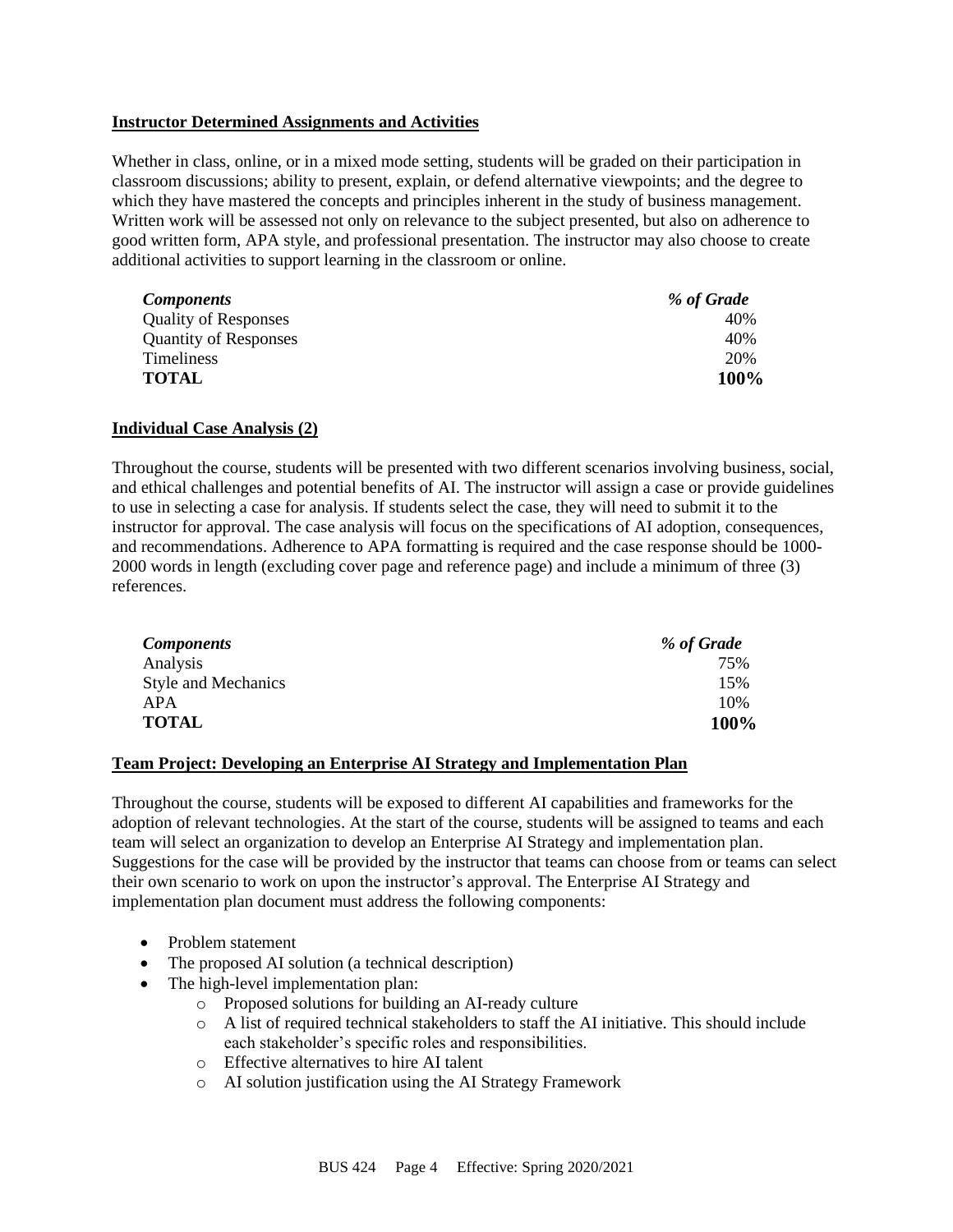#### **Instructor Determined Assignments and Activities**

Whether in class, online, or in a mixed mode setting, students will be graded on their participation in classroom discussions; ability to present, explain, or defend alternative viewpoints; and the degree to which they have mastered the concepts and principles inherent in the study of business management. Written work will be assessed not only on relevance to the subject presented, but also on adherence to good written form, APA style, and professional presentation. The instructor may also choose to create additional activities to support learning in the classroom or online.

| <b>Components</b>            | % of Grade |
|------------------------------|------------|
| <b>Quality of Responses</b>  | 40%        |
| <b>Quantity of Responses</b> | 40%        |
| <b>Timeliness</b>            | 20%        |
| <b>TOTAL</b>                 | 100%       |

#### **Individual Case Analysis (2)**

Throughout the course, students will be presented with two different scenarios involving business, social, and ethical challenges and potential benefits of AI. The instructor will assign a case or provide guidelines to use in selecting a case for analysis. If students select the case, they will need to submit it to the instructor for approval. The case analysis will focus on the specifications of AI adoption, consequences, and recommendations. Adherence to APA formatting is required and the case response should be 1000- 2000 words in length (excluding cover page and reference page) and include a minimum of three (3) references.

| <b>Components</b>          | % of Grade |
|----------------------------|------------|
| Analysis                   | 75%        |
| <b>Style and Mechanics</b> | 15%        |
| APA                        | 10%        |
| <b>TOTAL</b>               | 100%       |

#### **Team Project: Developing an Enterprise AI Strategy and Implementation Plan**

Throughout the course, students will be exposed to different AI capabilities and frameworks for the adoption of relevant technologies. At the start of the course, students will be assigned to teams and each team will select an organization to develop an Enterprise AI Strategy and implementation plan. Suggestions for the case will be provided by the instructor that teams can choose from or teams can select their own scenario to work on upon the instructor's approval. The Enterprise AI Strategy and implementation plan document must address the following components:

- Problem statement
- The proposed AI solution (a technical description)
- The high-level implementation plan:
	- o Proposed solutions for building an AI-ready culture
	- o A list of required technical stakeholders to staff the AI initiative. This should include each stakeholder's specific roles and responsibilities.
	- o Effective alternatives to hire AI talent
	- o AI solution justification using the AI Strategy Framework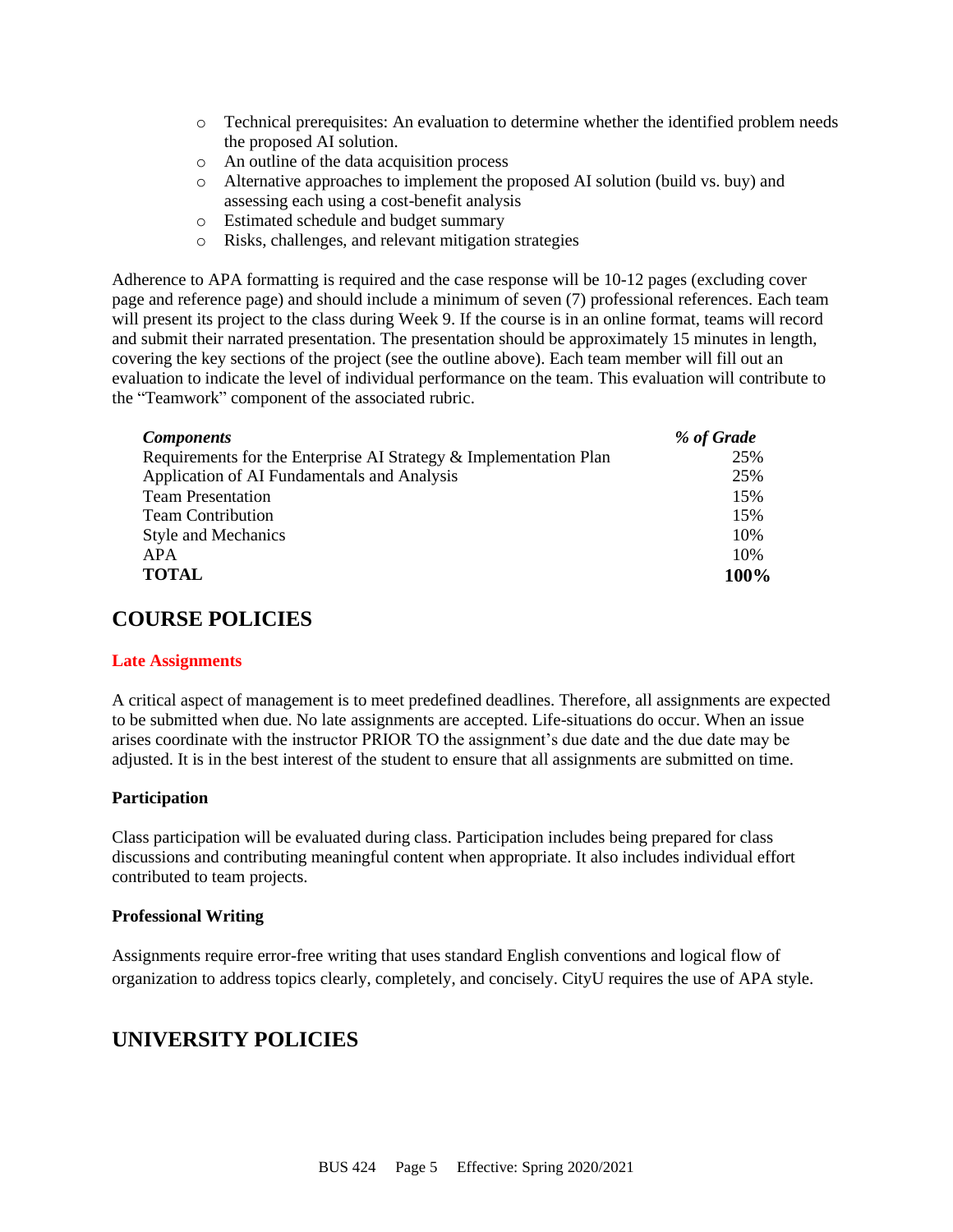- o Technical prerequisites: An evaluation to determine whether the identified problem needs the proposed AI solution.
- o An outline of the data acquisition process
- o Alternative approaches to implement the proposed AI solution (build vs. buy) and assessing each using a cost-benefit analysis
- o Estimated schedule and budget summary
- o Risks, challenges, and relevant mitigation strategies

Adherence to APA formatting is required and the case response will be 10-12 pages (excluding cover page and reference page) and should include a minimum of seven (7) professional references. Each team will present its project to the class during Week 9. If the course is in an online format, teams will record and submit their narrated presentation. The presentation should be approximately 15 minutes in length, covering the key sections of the project (see the outline above). Each team member will fill out an evaluation to indicate the level of individual performance on the team. This evaluation will contribute to the "Teamwork" component of the associated rubric.

| <b>Components</b>                                                 | % of Grade |
|-------------------------------------------------------------------|------------|
| Requirements for the Enterprise AI Strategy & Implementation Plan | 25%        |
| Application of AI Fundamentals and Analysis                       | 25%        |
| <b>Team Presentation</b>                                          | 15%        |
| <b>Team Contribution</b>                                          | 15%        |
| <b>Style and Mechanics</b>                                        | 10%        |
| APA                                                               | 10%        |
| <b>TOTAL</b>                                                      | 100%       |

### **COURSE POLICIES**

#### **Late Assignments**

A critical aspect of management is to meet predefined deadlines. Therefore, all assignments are expected to be submitted when due. No late assignments are accepted. Life-situations do occur. When an issue arises coordinate with the instructor PRIOR TO the assignment's due date and the due date may be adjusted. It is in the best interest of the student to ensure that all assignments are submitted on time.

#### **Participation**

Class participation will be evaluated during class. Participation includes being prepared for class discussions and contributing meaningful content when appropriate. It also includes individual effort contributed to team projects.

#### **Professional Writing**

Assignments require error-free writing that uses standard English conventions and logical flow of organization to address topics clearly, completely, and concisely. CityU requires the use of APA style.

### **UNIVERSITY POLICIES**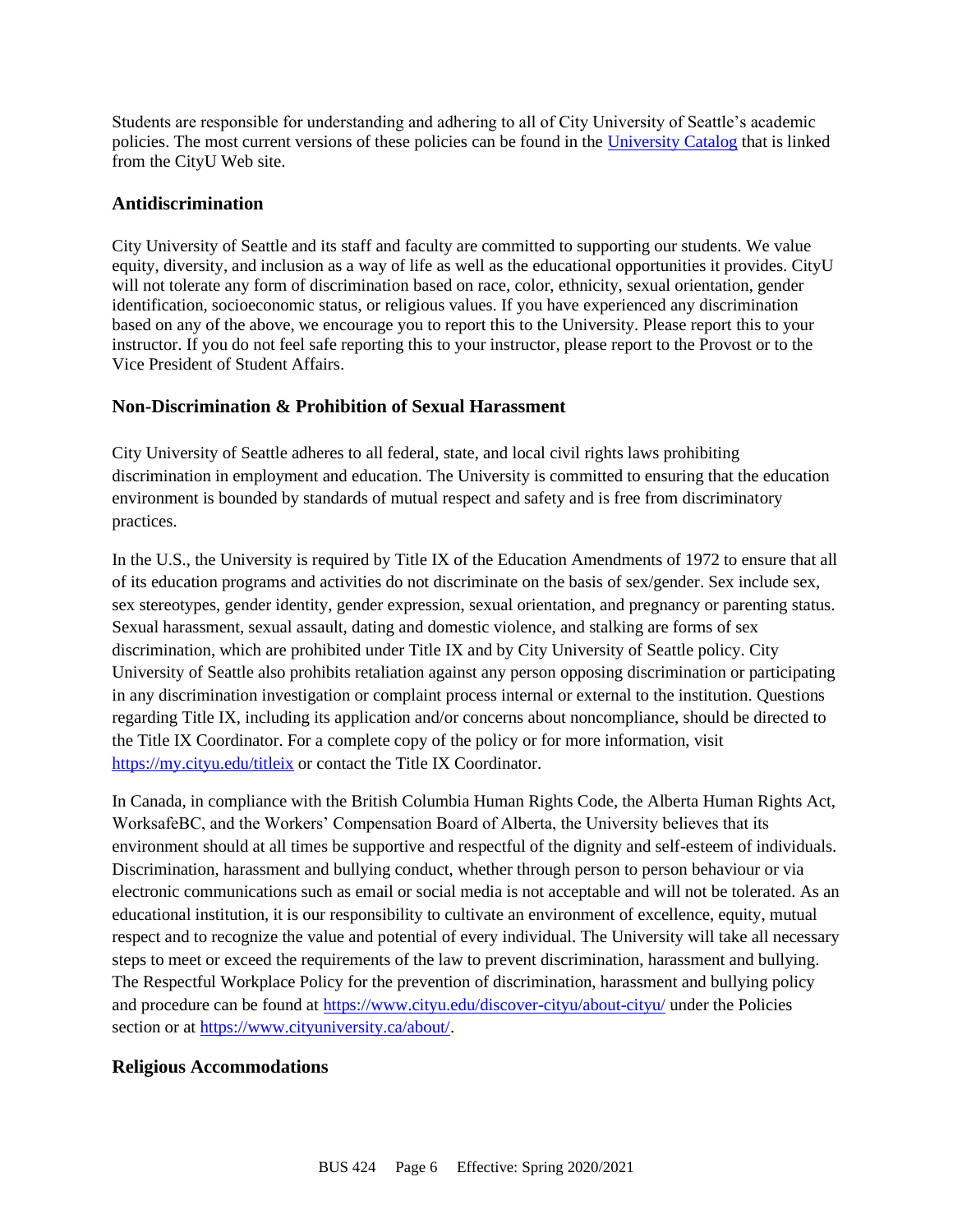Students are responsible for understanding and adhering to all of City University of Seattle's academic policies. The most current versions of these policies can be found in the [University Catalog](http://www.cityu.edu/catalog/) that is linked from the CityU Web site.

#### **Antidiscrimination**

City University of Seattle and its staff and faculty are committed to supporting our students. We value equity, diversity, and inclusion as a way of life as well as the educational opportunities it provides. CityU will not tolerate any form of discrimination based on race, color, ethnicity, sexual orientation, gender identification, socioeconomic status, or religious values. If you have experienced any discrimination based on any of the above, we encourage you to report this to the University. Please report this to your instructor. If you do not feel safe reporting this to your instructor, please report to the Provost or to the Vice President of Student Affairs.

### **Non-Discrimination & Prohibition of Sexual Harassment**

City University of Seattle adheres to all federal, state, and local civil rights laws prohibiting discrimination in employment and education. The University is committed to ensuring that the education environment is bounded by standards of mutual respect and safety and is free from discriminatory practices.

In the U.S., the University is required by Title IX of the Education Amendments of 1972 to ensure that all of its education programs and activities do not discriminate on the basis of sex/gender. Sex include sex, sex stereotypes, gender identity, gender expression, sexual orientation, and pregnancy or parenting status. Sexual harassment, sexual assault, dating and domestic violence, and stalking are forms of sex discrimination, which are prohibited under Title IX and by City University of Seattle policy. City University of Seattle also prohibits retaliation against any person opposing discrimination or participating in any discrimination investigation or complaint process internal or external to the institution. Questions regarding Title IX, including its application and/or concerns about noncompliance, should be directed to the Title IX Coordinator. For a complete copy of the policy or for more information, visit <https://my.cityu.edu/titleix> or contact the Title IX Coordinator.

In Canada, in compliance with the British Columbia Human Rights Code, the Alberta Human Rights Act, WorksafeBC, and the Workers' Compensation Board of Alberta, the University believes that its environment should at all times be supportive and respectful of the dignity and self-esteem of individuals. Discrimination, harassment and bullying conduct, whether through person to person behaviour or via electronic communications such as email or social media is not acceptable and will not be tolerated. As an educational institution, it is our responsibility to cultivate an environment of excellence, equity, mutual respect and to recognize the value and potential of every individual. The University will take all necessary steps to meet or exceed the requirements of the law to prevent discrimination, harassment and bullying. The Respectful Workplace Policy for the prevention of discrimination, harassment and bullying policy and procedure can be found at<https://www.cityu.edu/discover-cityu/about-cityu/> under the Policies section or at [https://www.cityuniversity.ca/about/.](https://www.cityuniversity.ca/about/)

#### **Religious Accommodations**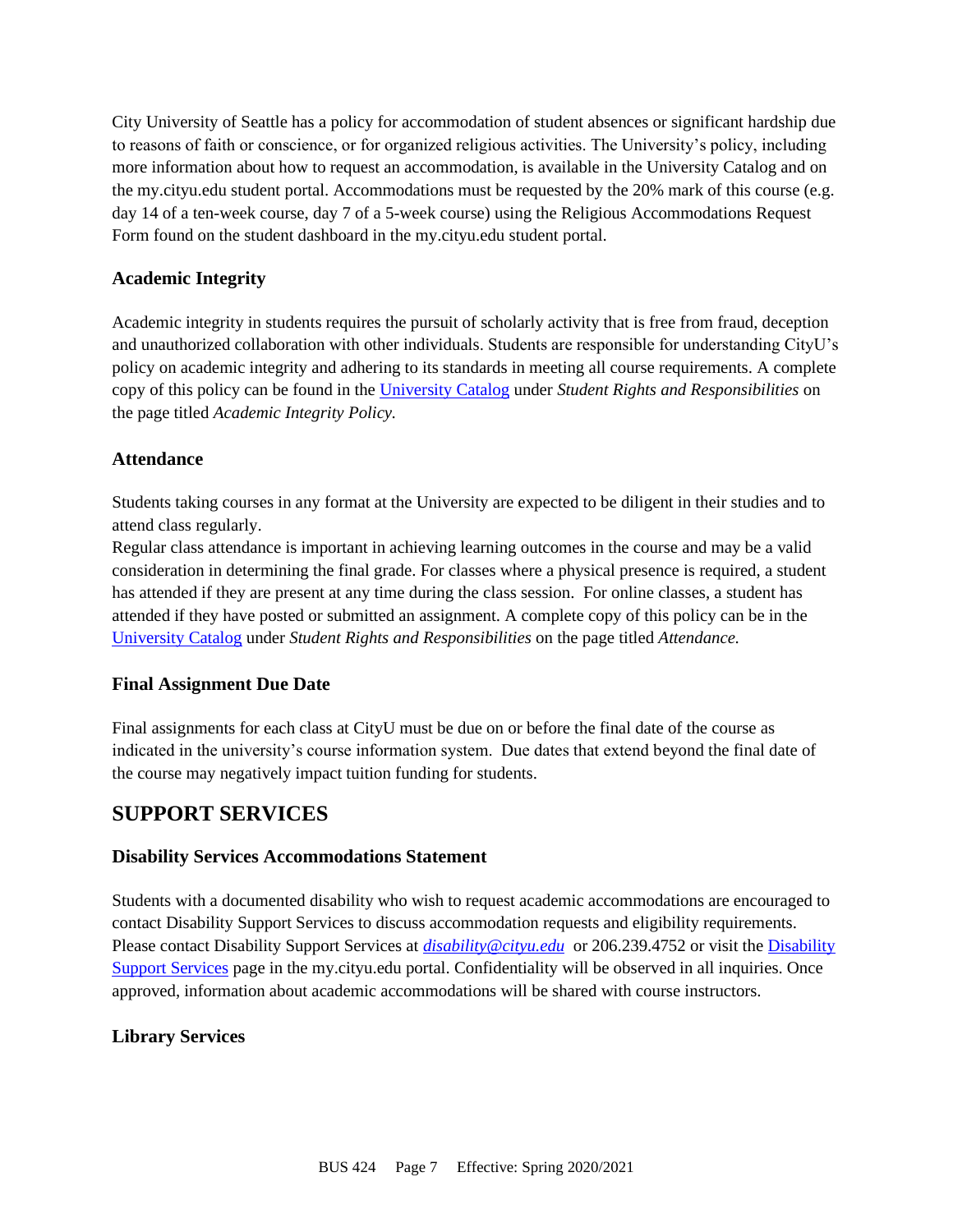City University of Seattle has a policy for accommodation of student absences or significant hardship due to reasons of faith or conscience, or for organized religious activities. The University's policy, including more information about how to request an accommodation, is available in the University Catalog and on the my.cityu.edu student portal. Accommodations must be requested by the 20% mark of this course (e.g. day 14 of a ten-week course, day 7 of a 5-week course) using the Religious Accommodations Request Form found on the student dashboard in the my.cityu.edu student portal.

### **Academic Integrity**

Academic integrity in students requires the pursuit of scholarly activity that is free from fraud, deception and unauthorized collaboration with other individuals. Students are responsible for understanding CityU's policy on academic integrity and adhering to its standards in meeting all course requirements. A complete copy of this policy can be found in the [University Catalog](http://www.cityu.edu/catalog/) under *Student Rights and Responsibilities* on the page titled *Academic Integrity Policy.* 

### **Attendance**

Students taking courses in any format at the University are expected to be diligent in their studies and to attend class regularly.

Regular class attendance is important in achieving learning outcomes in the course and may be a valid consideration in determining the final grade. For classes where a physical presence is required, a student has attended if they are present at any time during the class session. For online classes, a student has attended if they have posted or submitted an assignment. A complete copy of this policy can be in the [University Catalog](http://www.cityu.edu/catalog/) under *Student Rights and Responsibilities* on the page titled *Attendance.*

### **Final Assignment Due Date**

Final assignments for each class at CityU must be due on or before the final date of the course as indicated in the university's course information system. Due dates that extend beyond the final date of the course may negatively impact tuition funding for students.

# **SUPPORT SERVICES**

### **Disability Services Accommodations Statement**

Students with a documented disability who wish to request academic accommodations are encouraged to contact Disability Support Services to discuss accommodation requests and eligibility requirements. Please contact Disability Support Services at *[disability@cityu.edu](mailto:disability@cityu.edu)* or 206.239.4752 or visit the [Disability](https://my.cityu.edu/department/disability-support-services/)  [Support Services](https://my.cityu.edu/department/disability-support-services/) page in the my.cityu.edu portal. Confidentiality will be observed in all inquiries. Once approved, information about academic accommodations will be shared with course instructors.

### **Library Services**